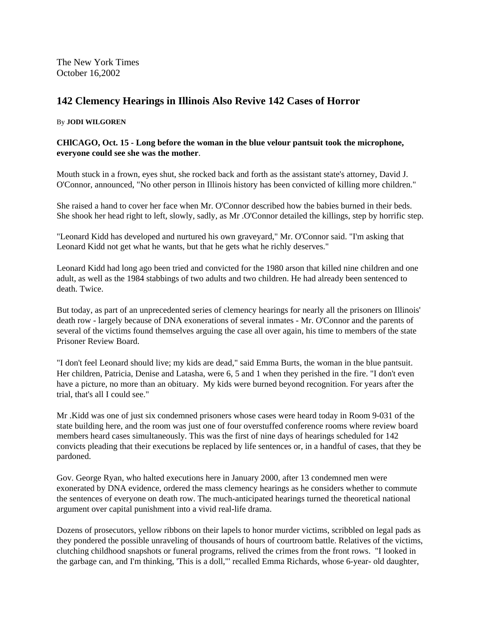The New York Times October 16,2002

## **142 Clemency Hearings in Illinois Also Revive 142 Cases of Horror**

## By **JODI WILGOREN**

## **CHlCAGO, Oct. 15 - Long before the woman in the blue velour pantsuit took the microphone, everyone could see she was the mother**.

Mouth stuck in a frown, eyes shut, she rocked back and forth as the assistant state's attorney, David J. O'Connor, announced, "No other person in Illinois history has been convicted of killing more children."

She raised a hand to cover her face when Mr. O'Connor described how the babies burned in their beds. She shook her head right to left, slowly, sadly, as Mr .O'Connor detailed the killings, step by horrific step.

"Leonard Kidd has developed and nurtured his own graveyard," Mr. O'Connor said. "I'm asking that Leonard Kidd not get what he wants, but that he gets what he richly deserves."

Leonard Kidd had long ago been tried and convicted for the 1980 arson that killed nine children and one adult, as well as the 1984 stabbings of two adults and two children. He had already been sentenced to death. Twice.

But today, as part of an unprecedented series of clemency hearings for nearly all the prisoners on Illinois' death row - largely because of DNA exonerations of several inmates - Mr. O'Connor and the parents of several of the victims found themselves arguing the case all over again, his time to members of the state Prisoner Review Board.

"I don't feel Leonard should live; my kids are dead," said Emma Burts, the woman in the blue pantsuit. Her children, Patricia, Denise and Latasha, were 6, 5 and 1 when they perished in the fire. "I don't even have a picture, no more than an obituary. My kids were burned beyond recognition. For years after the trial, that's all I could see."

Mr .Kidd was one of just six condemned prisoners whose cases were heard today in Room 9-031 of the state building here, and the room was just one of four overstuffed conference rooms where review board members heard cases simultaneously. This was the first of nine days of hearings scheduled for 142 convicts pleading that their executions be replaced by life sentences or, in a handful of cases, that they be pardoned.

Gov. George Ryan, who halted executions here in January 2000, after 13 condemned men were exonerated by DNA evidence, ordered the mass clemency hearings as he considers whether to commute the sentences of everyone on death row. The much-anticipated hearings turned the theoretical national argument over capital punishment into a vivid real-life drama.

Dozens of prosecutors, yellow ribbons on their lapels to honor murder victims, scribbled on legal pads as they pondered the possible unraveling of thousands of hours of courtroom battle. Relatives of the victims, clutching childhood snapshots or funeral programs, relived the crimes from the front rows. "I looked in the garbage can, and I'm thinking, 'This is a doll,"' recalled Emma Richards, whose 6-year- old daughter,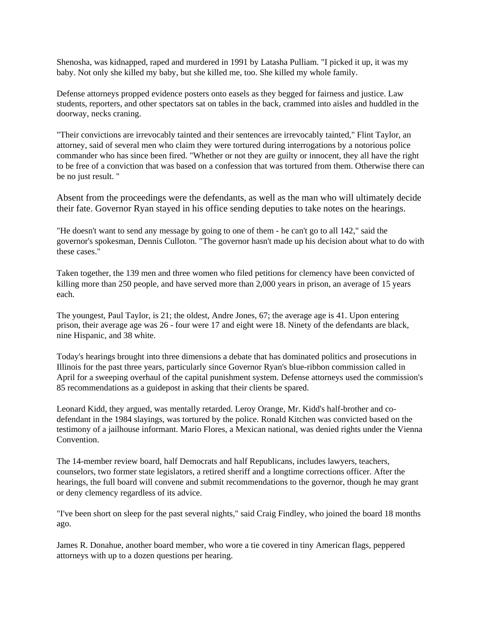Shenosha, was kidnapped, raped and murdered in 1991 by Latasha Pulliam. "I picked it up, it was my baby. Not only she killed my baby, but she killed me, too. She killed my whole family.

Defense attorneys propped evidence posters onto easels as they begged for fairness and justice. Law students, reporters, and other spectators sat on tables in the back, crammed into aisles and huddled in the doorway, necks craning.

"Their convictions are irrevocably tainted and their sentences are irrevocably tainted," Flint Taylor, an attorney, said of several men who claim they were tortured during interrogations by a notorious police commander who has since been fired. "Whether or not they are guilty or innocent, they all have the right to be free of a conviction that was based on a confession that was tortured from them. Otherwise there can be no just result. "

Absent from the proceedings were the defendants, as well as the man who will ultimately decide their fate. Governor Ryan stayed in his office sending deputies to take notes on the hearings.

"He doesn't want to send any message by going to one of them - he can't go to all 142," said the governor's spokesman, Dennis Culloton. "The governor hasn't made up his decision about what to do with these cases."

Taken together, the 139 men and three women who filed petitions for clemency have been convicted of killing more than 250 people, and have served more than 2,000 years in prison, an average of 15 years each.

The youngest, Paul Taylor, is 21; the oldest, Andre Jones, 67; the average age is 41. Upon entering prison, their average age was 26 - four were 17 and eight were 18. Ninety of the defendants are black, nine Hispanic, and 38 white.

Today's hearings brought into three dimensions a debate that has dominated politics and prosecutions in Illinois for the past three years, particularly since Governor Ryan's blue-ribbon commission called in April for a sweeping overhaul of the capital punishment system. Defense attorneys used the commission's 85 recommendations as a guidepost in asking that their clients be spared.

Leonard Kidd, they argued, was mentally retarded. Leroy Orange, Mr. Kidd's half-brother and codefendant in the 1984 slayings, was tortured by the police. Ronald Kitchen was convicted based on the testimony of a jailhouse informant. Mario Flores, a Mexican national, was denied rights under the Vienna Convention.

The 14-member review board, half Democrats and half Republicans, includes lawyers, teachers, counselors, two former state legislators, a retired sheriff and a longtime corrections officer. After the hearings, the full board will convene and submit recommendations to the governor, though he may grant or deny clemency regardless of its advice.

"I've been short on sleep for the past several nights," said Craig Findley, who joined the board 18 months ago.

James R. Donahue, another board member, who wore a tie covered in tiny American flags, peppered attorneys with up to a dozen questions per hearing.